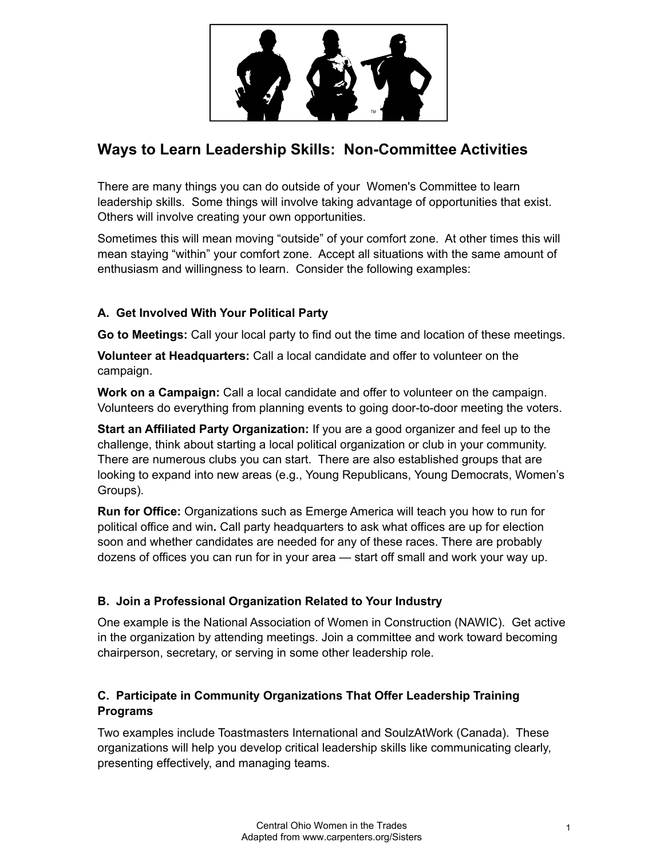

# **Ways to Learn Leadership Skills: Non-Committee Activities**

There are many things you can do outside of your Women's Committee to learn leadership skills. Some things will involve taking advantage of opportunities that exist. Others will involve creating your own opportunities.

Sometimes this will mean moving "outside" of your comfort zone. At other times this will mean staying "within" your comfort zone. Accept all situations with the same amount of enthusiasm and willingness to learn. Consider the following examples:

## **A. Get Involved With Your Political Party**

**Go to Meetings:** Call your local party to find out the time and location of these meetings.

**Volunteer at Headquarters:** Call a local candidate and offer to volunteer on the campaign.

**Work on a Campaign:** Call a local candidate and offer to volunteer on the campaign. Volunteers do everything from planning events to going door-to-door meeting the voters.

**Start an Affiliated Party Organization:** If you are a good organizer and feel up to the challenge, think about starting a local political organization or club in your community. There are numerous clubs you can start. There are also established groups that are looking to expand into new areas (e.g., Young Republicans, Young Democrats, Women's Groups).

**Run for Office:** Organizations such as Emerge America will teach you how to run for political office and win**.** Call party headquarters to ask what offices are up for election soon and whether candidates are needed for any of these races. There are probably dozens of offices you can run for in your area — start off small and work your way up.

## **B. Join a Professional Organization Related to Your Industry**

One example is the National Association of Women in Construction (NAWIC). Get active in the organization by attending meetings. Join a committee and work toward becoming chairperson, secretary, or serving in some other leadership role.

## **C. Participate in Community Organizations That Offer Leadership Training Programs**

Two examples include Toastmasters International and SoulzAtWork (Canada). These organizations will help you develop critical leadership skills like communicating clearly, presenting effectively, and managing teams.